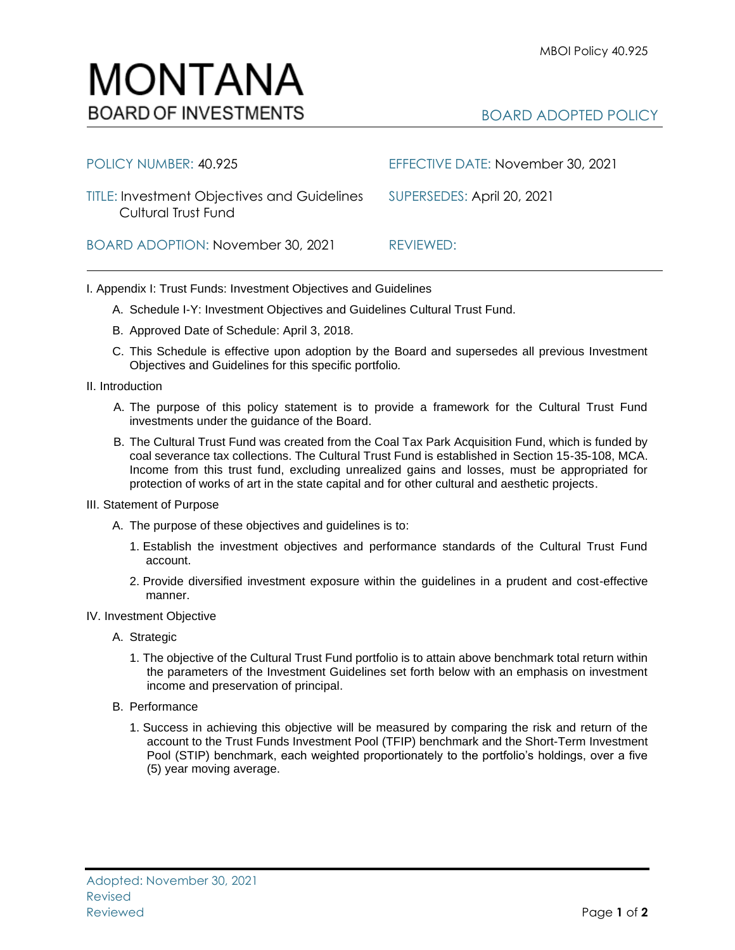## BOARD ADOPTED POLICY

| POLICY NUMBER: 40.925                                                                                | EFFECTIVE DATE: November 30, 2021 |
|------------------------------------------------------------------------------------------------------|-----------------------------------|
| TITLE: Investment Objectives and Guidelines SUPERSEDES: April 20, 2021<br><b>Cultural Trust Fund</b> |                                   |
| BOARD ADOPTION: November 30, 2021                                                                    | REVIEWED:                         |

I. Appendix I: Trust Funds: Investment Objectives and Guidelines

- A. Schedule I-Y: Investment Objectives and Guidelines Cultural Trust Fund.
- B. Approved Date of Schedule: April 3, 2018.
- C. This Schedule is effective upon adoption by the Board and supersedes all previous Investment Objectives and Guidelines for this specific portfolio*.*
- II. Introduction
	- A. The purpose of this policy statement is to provide a framework for the Cultural Trust Fund investments under the guidance of the Board.
	- B. The Cultural Trust Fund was created from the Coal Tax Park Acquisition Fund, which is funded by coal severance tax collections. The Cultural Trust Fund is established in Section 15-35-108, MCA. Income from this trust fund, excluding unrealized gains and losses, must be appropriated for protection of works of art in the state capital and for other cultural and aesthetic projects.
- III. Statement of Purpose
	- A. The purpose of these objectives and guidelines is to:
		- 1. Establish the investment objectives and performance standards of the Cultural Trust Fund account.
		- 2. Provide diversified investment exposure within the guidelines in a prudent and cost-effective manner.
- IV. Investment Objective
	- A. Strategic
		- 1. The objective of the Cultural Trust Fund portfolio is to attain above benchmark total return within the parameters of the Investment Guidelines set forth below with an emphasis on investment income and preservation of principal.
	- B. Performance
		- 1. Success in achieving this objective will be measured by comparing the risk and return of the account to the Trust Funds Investment Pool (TFIP) benchmark and the Short-Term Investment Pool (STIP) benchmark, each weighted proportionately to the portfolio's holdings, over a five (5) year moving average.